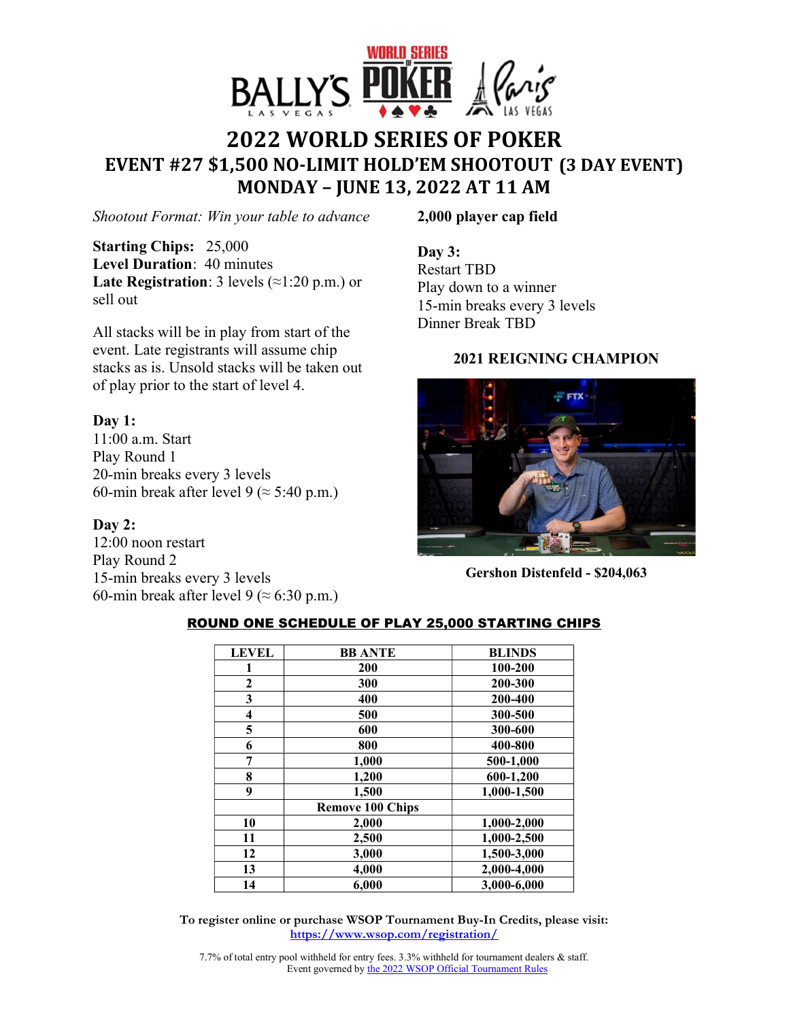

# **2022 WORLD SERIES OF POKER EVENT #27 \$1,500 NOLIMIT HOLD'EM SHOOTOUT (3 DAY EVENT) MONDAY – JUNE 13, 2022 AT 11 AM**

*Shootout Format: Win your table to advance* 

**Starting Chips:** 25,000 **Level Duration**: 40 minutes **Late Registration**: 3 levels (≈1:20 p.m.) or sell out

All stacks will be in play from start of the event. Late registrants will assume chip stacks as is. Unsold stacks will be taken out of play prior to the start of level 4.

## **Day 1:**

11:00 a.m. Start Play Round 1 20-min breaks every 3 levels 60-min break after level 9 ( $\approx$  5:40 p.m.)

#### **Day 2:**

12:00 noon restart Play Round 2 15-min breaks every 3 levels 60-min break after level 9 ( $\approx$  6:30 p.m.) **2,000 player cap field** 

**Day 3:**  Restart TBD Play down to a winner 15-min breaks every 3 levels Dinner Break TBD

## **2021 REIGNING CHAMPION**



**Gershon Distenfeld - \$204,063** 

| <b>LEVEL</b> | <b>BB ANTE</b>          | <b>BLINDS</b> |
|--------------|-------------------------|---------------|
|              | 200                     | 100-200       |
| $\mathbf{2}$ | 300                     | 200-300       |
| 3            | 400                     | 200-400       |
| 4            | 500                     | 300-500       |
| 5            | 600                     | 300-600       |
| 6            | 800                     | 400-800       |
| 7            | 1,000                   | 500-1,000     |
| 8            | 1,200                   | 600-1,200     |
| 9            | 1,500                   | 1,000-1,500   |
|              | <b>Remove 100 Chips</b> |               |
| 10           | 2,000                   | 1,000-2,000   |
| 11           | 2,500                   | 1,000-2,500   |
| 12           | 3,000                   | 1,500-3,000   |
| 13           | 4,000                   | 2,000-4,000   |
| 14           | 6,000                   | 3,000-6,000   |

#### ROUND ONE SCHEDULE OF PLAY 25,000 STARTING CHIPS

**To register online or purchase WSOP Tournament Buy-In Credits, please visit: https://www.wsop.com/registration/**

7.7% of total entry pool withheld for entry fees. 3.3% withheld for tournament dealers & staff. Event governed by the 2022 WSOP Official Tournament Rules